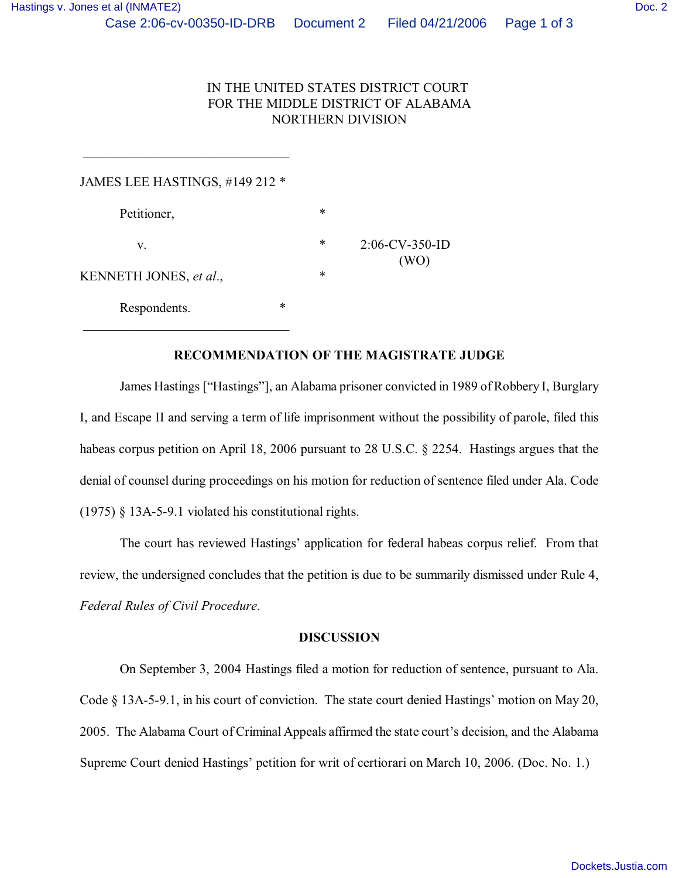## IN THE UNITED STATES DISTRICT COURT FOR THE MIDDLE DISTRICT OF ALABAMA NORTHERN DIVISION

| JAMES LEE HASTINGS, #149 212 * |        |        |                           |
|--------------------------------|--------|--------|---------------------------|
| Petitioner,                    |        | $\ast$ |                           |
| v.                             |        | $\ast$ | $2:06$ -CV-350-ID<br>(WO) |
| KENNETH JONES, et al.,         |        | $\ast$ |                           |
| Respondents.                   | $\ast$ |        |                           |

 $\overline{\phantom{a}}$  , which is a set of the set of the set of the set of the set of the set of the set of the set of the set of the set of the set of the set of the set of the set of the set of the set of the set of the set of th

## **RECOMMENDATION OF THE MAGISTRATE JUDGE**

James Hastings ["Hastings"], an Alabama prisoner convicted in 1989 of Robbery I, Burglary I, and Escape II and serving a term of life imprisonment without the possibility of parole, filed this habeas corpus petition on April 18, 2006 pursuant to 28 U.S.C. § 2254. Hastings argues that the denial of counsel during proceedings on his motion for reduction of sentence filed under Ala. Code (1975) § 13A-5-9.1 violated his constitutional rights.

The court has reviewed Hastings' application for federal habeas corpus relief. From that review, the undersigned concludes that the petition is due to be summarily dismissed under Rule 4, *Federal Rules of Civil Procedure*.

## **DISCUSSION**

On September 3, 2004 Hastings filed a motion for reduction of sentence, pursuant to Ala. Code § 13A-5-9.1, in his court of conviction. The state court denied Hastings' motion on May 20, 2005. The Alabama Court of Criminal Appeals affirmed the state court's decision, and the Alabama Supreme Court denied Hastings' petition for writ of certiorari on March 10, 2006. (Doc. No. 1.)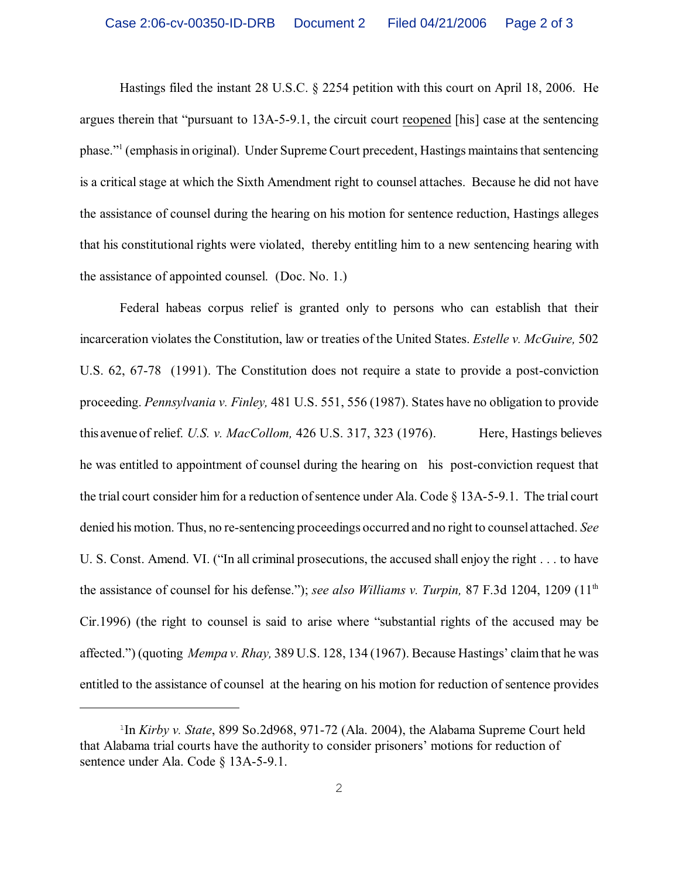Hastings filed the instant 28 U.S.C. § 2254 petition with this court on April 18, 2006. He argues therein that "pursuant to 13A-5-9.1, the circuit court reopened [his] case at the sentencing phase." (emphasis in original). Under Supreme Court precedent, Hastings maintains that sentencing is a critical stage at which the Sixth Amendment right to counsel attaches. Because he did not have the assistance of counsel during the hearing on his motion for sentence reduction, Hastings alleges that his constitutional rights were violated, thereby entitling him to a new sentencing hearing with the assistance of appointed counsel. (Doc. No. 1.)

Federal habeas corpus relief is granted only to persons who can establish that their incarceration violates the Constitution, law or treaties of the United States. *Estelle v. McGuire,* 502 U.S. 62, 67-78 (1991). The Constitution does not require a state to provide a post-conviction proceeding. *Pennsylvania v. Finley,* 481 U.S. 551, 556 (1987). States have no obligation to provide this avenue of relief. *U.S. v. MacCollom*, 426 U.S. 317, 323 (1976). Here, Hastings believes he was entitled to appointment of counsel during the hearing on his post-conviction request that the trial court consider him for a reduction of sentence under Ala. Code § 13A-5-9.1. The trial court denied his motion. Thus, no re-sentencing proceedings occurred and no right to counsel attached. *See* U. S. Const. Amend. VI. ("In all criminal prosecutions, the accused shall enjoy the right . . . to have the assistance of counsel for his defense."); *see also Williams v. Turpin,* 87 F.3d 1204, 1209 (11th Cir.1996) (the right to counsel is said to arise where "substantial rights of the accused may be affected.") (quoting *Mempa v. Rhay,* 389 U.S. 128, 134 (1967). Because Hastings' claim that he was entitled to the assistance of counsel at the hearing on his motion for reduction of sentence provides

<sup>&</sup>lt;sup>1</sup>In *Kirby v. State*, 899 So.2d968, 971-72 (Ala. 2004), the Alabama Supreme Court held that Alabama trial courts have the authority to consider prisoners' motions for reduction of sentence under Ala. Code § 13A-5-9.1.